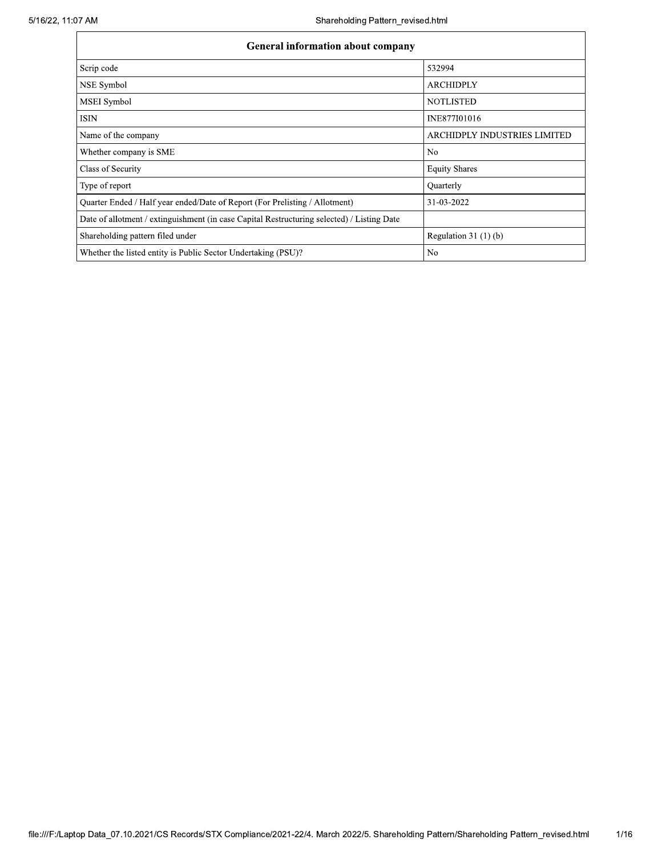| <b>General information about company</b>                                                   |                                     |
|--------------------------------------------------------------------------------------------|-------------------------------------|
| Scrip code                                                                                 | 532994                              |
| NSE Symbol                                                                                 | <b>ARCHIDPLY</b>                    |
| MSEI Symbol                                                                                | <b>NOTLISTED</b>                    |
| <b>ISIN</b>                                                                                | INE877I01016                        |
| Name of the company                                                                        | <b>ARCHIDPLY INDUSTRIES LIMITED</b> |
| Whether company is SME                                                                     | No                                  |
| Class of Security                                                                          | <b>Equity Shares</b>                |
| Type of report                                                                             | Quarterly                           |
| Quarter Ended / Half year ended/Date of Report (For Prelisting / Allotment)                | 31-03-2022                          |
| Date of allotment / extinguishment (in case Capital Restructuring selected) / Listing Date |                                     |
| Shareholding pattern filed under                                                           | Regulation $31(1)(b)$               |
| Whether the listed entity is Public Sector Undertaking (PSU)?                              | No                                  |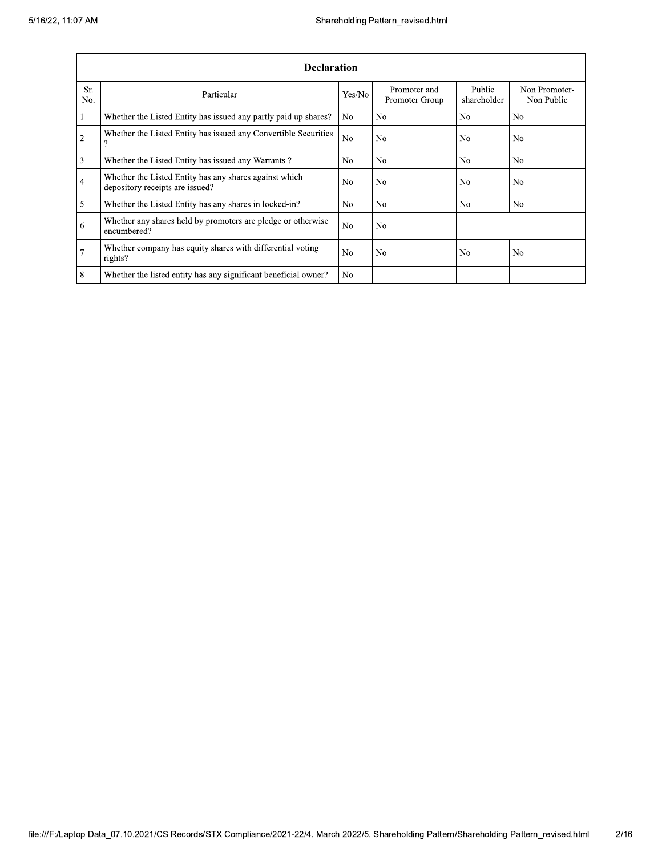|                 | <b>Declaration</b>                                                                        |                |                                |                       |                             |  |  |  |  |  |  |
|-----------------|-------------------------------------------------------------------------------------------|----------------|--------------------------------|-----------------------|-----------------------------|--|--|--|--|--|--|
| Sr.<br>No.      | Particular                                                                                | Yes/No         | Promoter and<br>Promoter Group | Public<br>shareholder | Non Promoter-<br>Non Public |  |  |  |  |  |  |
| 1               | Whether the Listed Entity has issued any partly paid up shares?                           | No.            | N <sub>0</sub>                 | N <sub>0</sub>        | N <sub>0</sub>              |  |  |  |  |  |  |
| $\overline{2}$  | Whether the Listed Entity has issued any Convertible Securities<br>o                      | N <sub>o</sub> | N <sub>o</sub>                 | No                    | N <sub>0</sub>              |  |  |  |  |  |  |
| 3               | Whether the Listed Entity has issued any Warrants?                                        | N <sub>0</sub> | N <sub>o</sub>                 | N <sub>0</sub>        | N <sub>0</sub>              |  |  |  |  |  |  |
| $\overline{4}$  | Whether the Listed Entity has any shares against which<br>depository receipts are issued? | No.            | N <sub>0</sub>                 | N <sub>0</sub>        | N <sub>o</sub>              |  |  |  |  |  |  |
| 5               | Whether the Listed Entity has any shares in locked-in?                                    | N <sub>0</sub> | No                             | N <sub>0</sub>        | No.                         |  |  |  |  |  |  |
| 6               | Whether any shares held by promoters are pledge or otherwise<br>encumbered?               | No             | N <sub>0</sub>                 |                       |                             |  |  |  |  |  |  |
| $7\overline{ }$ | Whether company has equity shares with differential voting<br>rights?                     | N <sub>o</sub> | N <sub>o</sub>                 | No                    | N <sub>o</sub>              |  |  |  |  |  |  |
| 8               | Whether the listed entity has any significant beneficial owner?                           | No.            |                                |                       |                             |  |  |  |  |  |  |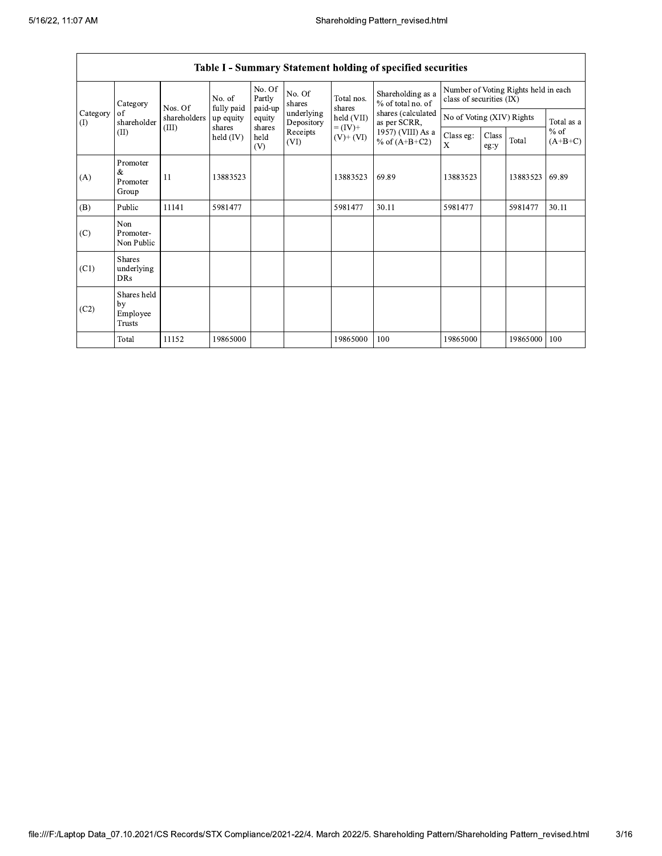|                 | Category                                | Nos. Of      | No. of<br>fully paid | No. Of<br>Partly<br>paid-up | No. Of<br>shares         | Total nos.<br>shares<br>held (VII)<br>$= (IV) +$<br>$(V)+(VI)$ | Shareholding as a<br>% of total no. of<br>shares (calculated<br>as per SCRR,<br>1957) (VIII) As a<br>% of $(A+B+C2)$ | Number of Voting Rights held in each<br>class of securities (IX) |                           |          |                     |
|-----------------|-----------------------------------------|--------------|----------------------|-----------------------------|--------------------------|----------------------------------------------------------------|----------------------------------------------------------------------------------------------------------------------|------------------------------------------------------------------|---------------------------|----------|---------------------|
| Category<br>(1) | of<br>shareholder                       | shareholders | up equity            | equity                      | underlying<br>Depository |                                                                |                                                                                                                      |                                                                  | No of Voting (XIV) Rights |          |                     |
|                 | (II)                                    | (III)        | shares<br>held (IV)  | shares<br>held<br>(V)       | Receipts<br>(VI)         |                                                                |                                                                                                                      | Class eg:<br>X                                                   | Class<br>eg:y             | Total    | $%$ of<br>$(A+B+C)$ |
| (A)             | Promoter<br>&<br>Promoter<br>Group      | 11           | 13883523             |                             |                          | 13883523                                                       | 69.89                                                                                                                | 13883523                                                         |                           | 13883523 | 69.89               |
| (B)             | Public                                  | 11141        | 5981477              |                             |                          | 5981477                                                        | 30.11                                                                                                                | 5981477                                                          |                           | 5981477  | 30.11               |
| (C)             | Non<br>Promoter-<br>Non Public          |              |                      |                             |                          |                                                                |                                                                                                                      |                                                                  |                           |          |                     |
| (C1)            | <b>Shares</b><br>underlying<br>DRs      |              |                      |                             |                          |                                                                |                                                                                                                      |                                                                  |                           |          |                     |
| (C2)            | Shares held<br>by<br>Employee<br>Trusts |              |                      |                             |                          |                                                                |                                                                                                                      |                                                                  |                           |          |                     |
|                 | Total                                   | 11152        | 19865000             |                             |                          | 19865000                                                       | 100                                                                                                                  | 19865000                                                         |                           | 19865000 | 100                 |

## Table I - Summary Statement holding of specified securities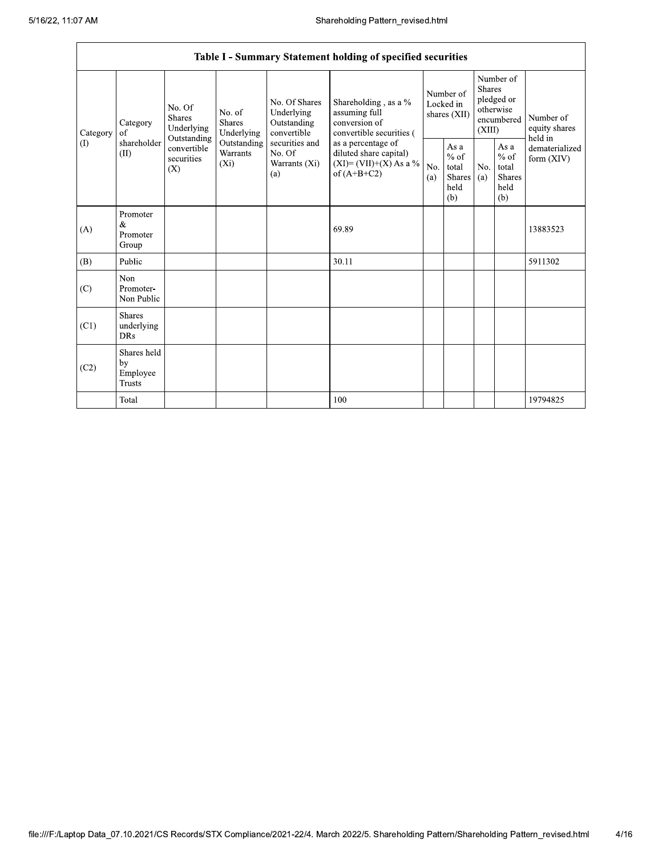|  | Table I - Summary Statement holding of specified securities |                                                |                                                 |                                                                             |                                                                                                               |                                                                                                                                                                                    |                                        |                                                         |                                                                        |                                                         |                                       |
|--|-------------------------------------------------------------|------------------------------------------------|-------------------------------------------------|-----------------------------------------------------------------------------|---------------------------------------------------------------------------------------------------------------|------------------------------------------------------------------------------------------------------------------------------------------------------------------------------------|----------------------------------------|---------------------------------------------------------|------------------------------------------------------------------------|---------------------------------------------------------|---------------------------------------|
|  | Category<br>(1)                                             | Category<br>of<br>shareholder<br>(II)          | No. Of<br><b>Shares</b><br>Underlying           | No. of<br><b>Shares</b><br>Underlying<br>Outstanding<br>Warrants<br>$(X_i)$ | No. Of Shares<br>Underlying<br>Outstanding<br>convertible<br>securities and<br>No. Of<br>Warrants (Xi)<br>(a) | Shareholding , as a $\%$<br>assuming full<br>conversion of<br>convertible securities (<br>as a percentage of<br>diluted share capital)<br>$(XI)=(VII)+(X) As a %$<br>of $(A+B+C2)$ | Number of<br>Locked in<br>shares (XII) |                                                         | Number of<br>Shares<br>pledged or<br>otherwise<br>encumbered<br>(XIII) |                                                         | Number of<br>equity shares<br>held in |
|  |                                                             |                                                | Outstanding<br>convertible<br>securities<br>(X) |                                                                             |                                                                                                               |                                                                                                                                                                                    | No.<br>(a)                             | As a<br>$%$ of<br>total<br><b>Shares</b><br>held<br>(b) | No.<br>(a)                                                             | As a<br>$%$ of<br>total<br><b>Shares</b><br>held<br>(b) | dematerialized<br>form $(XIV)$        |
|  | (A)                                                         | Promoter<br>$\&$<br>Promoter<br>Group          |                                                 |                                                                             |                                                                                                               | 69.89                                                                                                                                                                              |                                        |                                                         |                                                                        |                                                         | 13883523                              |
|  | (B)                                                         | Public                                         |                                                 |                                                                             |                                                                                                               | 30.11                                                                                                                                                                              |                                        |                                                         |                                                                        |                                                         | 5911302                               |
|  | (C)                                                         | Non<br>Promoter-<br>Non Public                 |                                                 |                                                                             |                                                                                                               |                                                                                                                                                                                    |                                        |                                                         |                                                                        |                                                         |                                       |
|  | (C1)                                                        | <b>Shares</b><br>underlying<br><b>DRs</b>      |                                                 |                                                                             |                                                                                                               |                                                                                                                                                                                    |                                        |                                                         |                                                                        |                                                         |                                       |
|  | (C2)                                                        | Shares held<br>by<br>Employee<br><b>Trusts</b> |                                                 |                                                                             |                                                                                                               |                                                                                                                                                                                    |                                        |                                                         |                                                                        |                                                         |                                       |
|  |                                                             | Total                                          |                                                 |                                                                             |                                                                                                               | 100                                                                                                                                                                                |                                        |                                                         |                                                                        |                                                         | 19794825                              |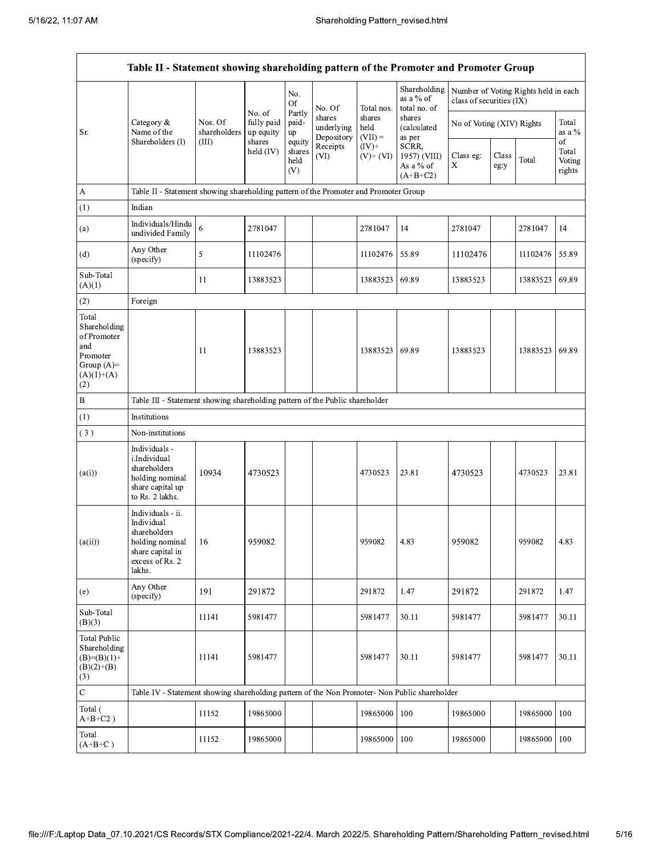|                                                                                                | Table II - Statement showing shareholding pattern of the Promoter and Promoter Group                                   |                                                                                      |                                             |                                 |                                    |                             |                                                  |                           |               |                                      |                           |  |
|------------------------------------------------------------------------------------------------|------------------------------------------------------------------------------------------------------------------------|--------------------------------------------------------------------------------------|---------------------------------------------|---------------------------------|------------------------------------|-----------------------------|--------------------------------------------------|---------------------------|---------------|--------------------------------------|---------------------------|--|
|                                                                                                |                                                                                                                        |                                                                                      |                                             | No.<br>Of                       | No. Of                             | Total nos.                  | Shareholding<br>as a % of<br>total no. of        | class of securities (IX)  |               | Number of Voting Rights held in each |                           |  |
| Sr.                                                                                            | Category $\&$<br>Name of the                                                                                           | Nos. Of<br>shareholders<br>(III)                                                     | No. of<br>fully paid<br>up equity<br>shares | Partly<br>paid-<br>up<br>equity | shares<br>underlying<br>Depository | shares<br>held<br>$(VII) =$ | shares<br>(calculated<br>as per                  | No of Voting (XIV) Rights |               |                                      | Total<br>as a $\%$<br>of  |  |
|                                                                                                | Shareholders (I)                                                                                                       |                                                                                      | held (IV)                                   | shares<br>held<br>(V)           | Receipts<br>(VI)                   | $(IV)+$<br>$(V)$ + $(VI)$   | SCRR,<br>1957) (VIII)<br>As a % of<br>$(A+B+C2)$ | Class eg:<br>X            | Class<br>eg:y | Total                                | Total<br>Voting<br>rights |  |
| A                                                                                              |                                                                                                                        | Table II - Statement showing shareholding pattern of the Promoter and Promoter Group |                                             |                                 |                                    |                             |                                                  |                           |               |                                      |                           |  |
| (1)                                                                                            | Indian                                                                                                                 |                                                                                      |                                             |                                 |                                    |                             |                                                  |                           |               |                                      |                           |  |
| (a)                                                                                            | Individuals/Hindu<br>undivided Family                                                                                  | 6                                                                                    | 2781047                                     |                                 |                                    | 2781047                     | 14                                               | 2781047                   |               | 2781047                              | 14                        |  |
| (d)                                                                                            | Any Other<br>(specify)                                                                                                 | 5                                                                                    | 11102476                                    |                                 |                                    | 11102476                    | 55.89                                            | 11102476                  |               | 11102476                             | 55.89                     |  |
| Sub-Total<br>(A)(1)                                                                            |                                                                                                                        | 11                                                                                   | 13883523                                    |                                 |                                    | 13883523                    | 69.89                                            | 13883523                  |               | 13883523                             | 69.89                     |  |
| (2)                                                                                            | Foreign                                                                                                                |                                                                                      |                                             |                                 |                                    |                             |                                                  |                           |               |                                      |                           |  |
| Total<br>Shareholding<br>of Promoter<br>and<br>Promoter<br>Group $(A)=$<br>$(A)(1)+(A)$<br>(2) |                                                                                                                        | 11                                                                                   | 13883523                                    |                                 |                                    | 13883523                    | 69.89                                            | 13883523                  |               | 13883523                             | 69.89                     |  |
| B                                                                                              | Table III - Statement showing shareholding pattern of the Public shareholder                                           |                                                                                      |                                             |                                 |                                    |                             |                                                  |                           |               |                                      |                           |  |
| (1)                                                                                            | Institutions                                                                                                           |                                                                                      |                                             |                                 |                                    |                             |                                                  |                           |               |                                      |                           |  |
| (3)                                                                                            | Non-institutions                                                                                                       |                                                                                      |                                             |                                 |                                    |                             |                                                  |                           |               |                                      |                           |  |
| (a(i))                                                                                         | Individuals -<br>i.Individual<br>shareholders<br>holding nominal<br>share capital up<br>to Rs. 2 lakhs.                | 10934                                                                                | 4730523                                     |                                 |                                    | 4730523                     | 23.81                                            | 4730523                   |               | 4730523                              | 23.81                     |  |
| (a(ii))                                                                                        | Individuals - ii.<br>Individual<br>shareholders<br>holding nominal 16<br>share capital in<br>excess of Rs. 2<br>lakhs. |                                                                                      | 959082                                      |                                 |                                    | 959082                      | 4.83                                             | 959082                    |               | 959082                               | 4.83                      |  |
| (e)                                                                                            | Any Other<br>(specify)                                                                                                 | 191                                                                                  | 291872                                      |                                 |                                    | 291872                      | 1.47                                             | 291872                    |               | 291872                               | 1.47                      |  |
| Sub-Total<br>(B)(3)                                                                            |                                                                                                                        | 11141                                                                                | 5981477                                     |                                 |                                    | 5981477                     | 30.11                                            | 5981477                   |               | 5981477                              | 30.11                     |  |
| <b>Total Public</b><br>Shareholding<br>$(B)=(B)(1)+$<br>$(B)(2)+(B)$<br>(3)                    |                                                                                                                        | 11141                                                                                | 5981477                                     |                                 |                                    | 5981477                     | 30.11                                            | 5981477                   |               | 5981477                              | 30.11                     |  |
| $\mathbf C$                                                                                    | Table IV - Statement showing shareholding pattern of the Non Promoter- Non Public shareholder                          |                                                                                      |                                             |                                 |                                    |                             |                                                  |                           |               |                                      |                           |  |
| Total (<br>$A+B+C2$ )                                                                          |                                                                                                                        | 11152                                                                                | 19865000                                    |                                 |                                    | 19865000                    | 100                                              | 19865000                  |               | 19865000                             | 100                       |  |
| Total<br>$(A+B+C)$                                                                             |                                                                                                                        | 11152                                                                                | 19865000                                    |                                 |                                    | 19865000                    | 100                                              | 19865000                  |               | 19865000                             | 100                       |  |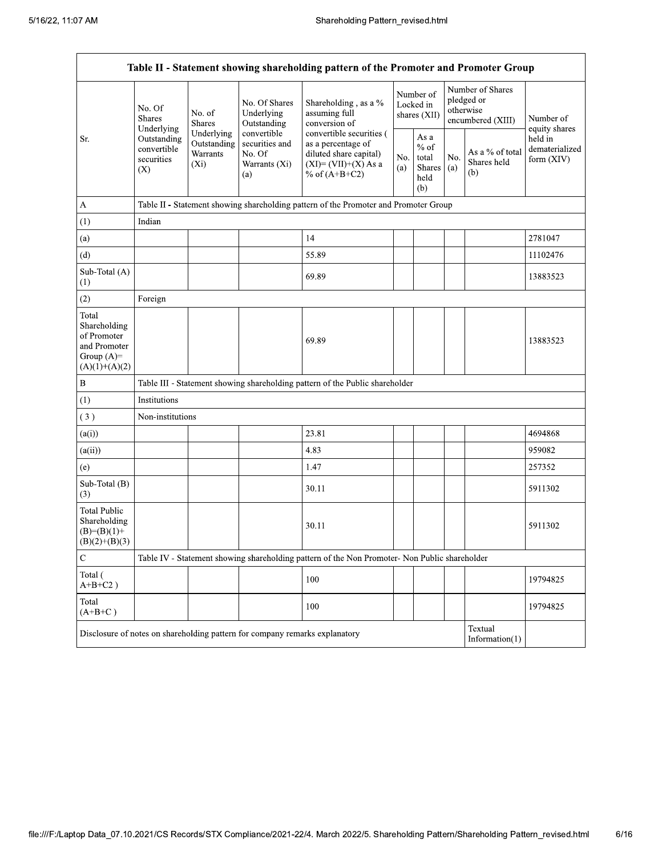| Table II - Statement showing shareholding pattern of the Promoter and Promoter Group    |                                                                                                          |                                                                                      |                                                                 |                                                                                                                      |                                        |                                                            |                                                                  |                                       |                                         |  |  |
|-----------------------------------------------------------------------------------------|----------------------------------------------------------------------------------------------------------|--------------------------------------------------------------------------------------|-----------------------------------------------------------------|----------------------------------------------------------------------------------------------------------------------|----------------------------------------|------------------------------------------------------------|------------------------------------------------------------------|---------------------------------------|-----------------------------------------|--|--|
|                                                                                         | No. Of<br><b>Shares</b><br>Underlying                                                                    | No. of<br><b>Shares</b>                                                              | No. Of Shares<br>Underlying<br>Outstanding                      | Shareholding, as a %<br>assuming full<br>conversion of                                                               | Number of<br>Locked in<br>shares (XII) |                                                            | Number of Shares<br>pledged or<br>otherwise<br>encumbered (XIII) |                                       | Number of<br>equity shares              |  |  |
| Sr.                                                                                     | Outstanding<br>convertible<br>securities<br>(X)                                                          | Underlying<br>Outstanding<br>Warrants<br>$(X_i)$                                     | convertible<br>securities and<br>No. Of<br>Warrants (Xi)<br>(a) | convertible securities (<br>as a percentage of<br>diluted share capital)<br>$(XI)=(VII)+(X) As a$<br>% of $(A+B+C2)$ | No.<br>(a)                             | As $\mathbf a$<br>$%$ of<br>total<br>Shares<br>held<br>(b) | No.<br>(a)                                                       | As a % of total<br>Shares held<br>(b) | held in<br>dematerialized<br>form (XIV) |  |  |
| $\boldsymbol{A}$                                                                        |                                                                                                          | Table II - Statement showing shareholding pattern of the Promoter and Promoter Group |                                                                 |                                                                                                                      |                                        |                                                            |                                                                  |                                       |                                         |  |  |
| (1)                                                                                     | Indian                                                                                                   |                                                                                      |                                                                 |                                                                                                                      |                                        |                                                            |                                                                  |                                       |                                         |  |  |
| (a)                                                                                     |                                                                                                          |                                                                                      |                                                                 | 14                                                                                                                   |                                        |                                                            |                                                                  |                                       | 2781047                                 |  |  |
| (d)                                                                                     |                                                                                                          |                                                                                      |                                                                 | 55.89                                                                                                                |                                        |                                                            |                                                                  |                                       | 11102476                                |  |  |
| Sub-Total (A)<br>(1)                                                                    |                                                                                                          |                                                                                      |                                                                 | 69.89                                                                                                                |                                        |                                                            |                                                                  |                                       | 13883523                                |  |  |
| (2)                                                                                     | Foreign                                                                                                  |                                                                                      |                                                                 |                                                                                                                      |                                        |                                                            |                                                                  |                                       |                                         |  |  |
| Total<br>Shareholding<br>of Promoter<br>and Promoter<br>Group $(A)=$<br>$(A)(1)+(A)(2)$ |                                                                                                          |                                                                                      |                                                                 | 69.89                                                                                                                |                                        |                                                            |                                                                  |                                       | 13883523                                |  |  |
| $\, {\bf B}$                                                                            |                                                                                                          |                                                                                      |                                                                 | Table III - Statement showing shareholding pattern of the Public shareholder                                         |                                        |                                                            |                                                                  |                                       |                                         |  |  |
| (1)                                                                                     | Institutions                                                                                             |                                                                                      |                                                                 |                                                                                                                      |                                        |                                                            |                                                                  |                                       |                                         |  |  |
| (3)                                                                                     | Non-institutions                                                                                         |                                                                                      |                                                                 |                                                                                                                      |                                        |                                                            |                                                                  |                                       |                                         |  |  |
| (a(i))                                                                                  |                                                                                                          |                                                                                      |                                                                 | 23.81                                                                                                                |                                        |                                                            |                                                                  |                                       | 4694868                                 |  |  |
| (a(ii))                                                                                 |                                                                                                          |                                                                                      |                                                                 | 4.83                                                                                                                 |                                        |                                                            |                                                                  |                                       | 959082                                  |  |  |
| (e)                                                                                     |                                                                                                          |                                                                                      |                                                                 | 1.47                                                                                                                 |                                        |                                                            |                                                                  |                                       | 257352                                  |  |  |
| Sub-Total (B)<br>(3)                                                                    |                                                                                                          |                                                                                      |                                                                 | 30.11                                                                                                                |                                        |                                                            |                                                                  |                                       | 5911302                                 |  |  |
| <b>Total Public</b><br>Shareholding<br>$(B)=(B)(1)+$<br>$(B)(2)+(B)(3)$                 |                                                                                                          |                                                                                      |                                                                 | 30.11                                                                                                                |                                        |                                                            |                                                                  |                                       | 5911302                                 |  |  |
| $\mathbf C$                                                                             |                                                                                                          |                                                                                      |                                                                 | Table IV - Statement showing shareholding pattern of the Non Promoter- Non Public shareholder                        |                                        |                                                            |                                                                  |                                       |                                         |  |  |
| Total (<br>$A+B+C2$ )                                                                   |                                                                                                          |                                                                                      |                                                                 | 100                                                                                                                  |                                        |                                                            |                                                                  |                                       | 19794825                                |  |  |
| Total<br>$(A+B+C)$                                                                      |                                                                                                          |                                                                                      |                                                                 | 100                                                                                                                  |                                        |                                                            |                                                                  |                                       | 19794825                                |  |  |
|                                                                                         | Textual<br>Disclosure of notes on shareholding pattern for company remarks explanatory<br>Information(1) |                                                                                      |                                                                 |                                                                                                                      |                                        |                                                            |                                                                  |                                       |                                         |  |  |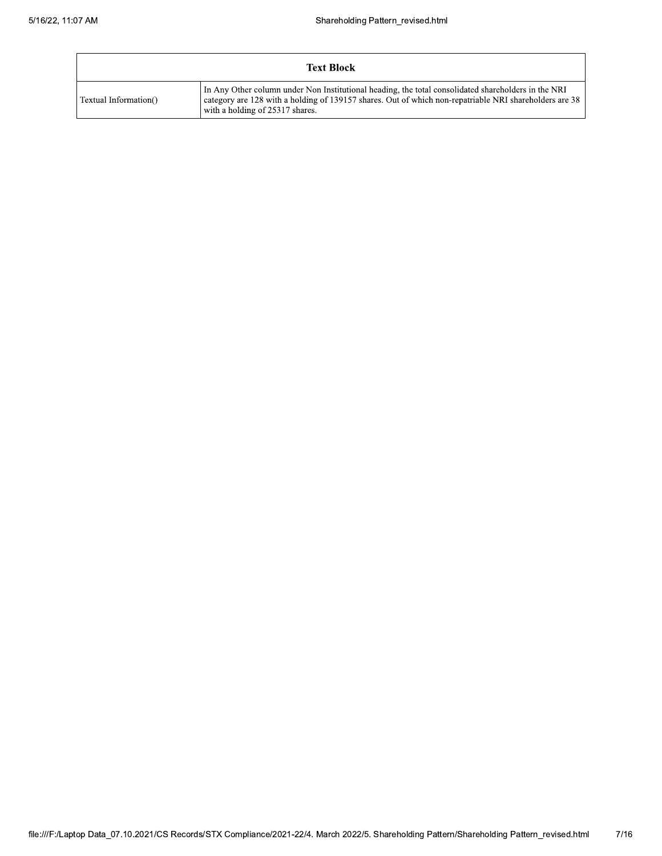|                       | <b>Text Block</b>                                                                                                                                                                                                                                |
|-----------------------|--------------------------------------------------------------------------------------------------------------------------------------------------------------------------------------------------------------------------------------------------|
| Textual Information() | In Any Other column under Non Institutional heading, the total consolidated shareholders in the NRI<br>category are 128 with a holding of 139157 shares. Out of which non-repatriable NRI shareholders are 38<br>with a holding of 25317 shares. |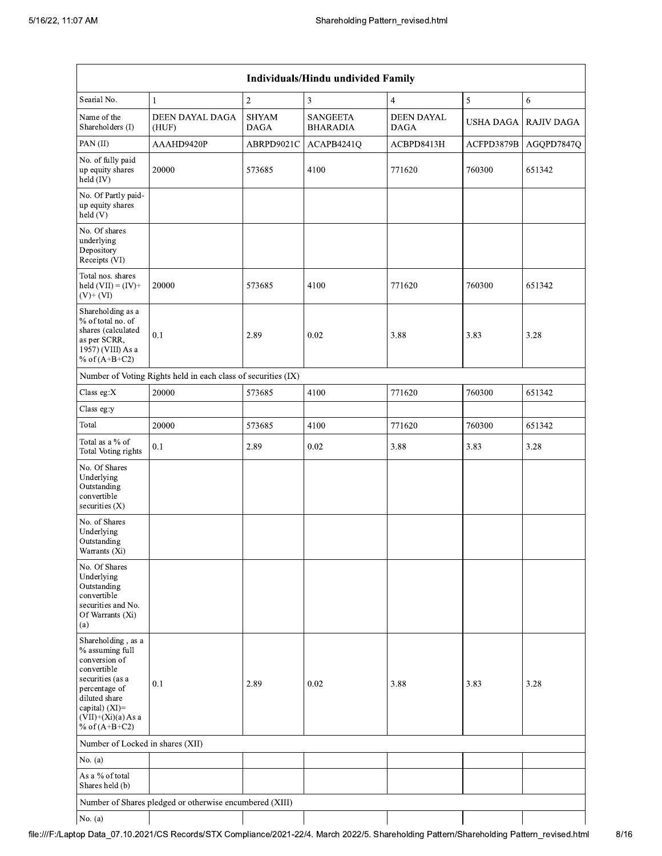| Individuals/Hindu undivided Family                                                                                                                                                       |                                                               |                             |                                    |                                  |                  |                   |  |  |  |  |
|------------------------------------------------------------------------------------------------------------------------------------------------------------------------------------------|---------------------------------------------------------------|-----------------------------|------------------------------------|----------------------------------|------------------|-------------------|--|--|--|--|
| Searial No.                                                                                                                                                                              | $\mathbf{1}$                                                  | $\overline{2}$              | 3                                  | 4                                | 5                | $\sqrt{6}$        |  |  |  |  |
| Name of the<br>Shareholders (I)                                                                                                                                                          | DEEN DAYAL DAGA<br>(HUF)                                      | <b>SHYAM</b><br><b>DAGA</b> | <b>SANGEETA</b><br><b>BHARADIA</b> | <b>DEEN DAYAL</b><br><b>DAGA</b> | <b>USHA DAGA</b> | <b>RAJIV DAGA</b> |  |  |  |  |
| PAN (II)                                                                                                                                                                                 | AAAHD9420P                                                    | ABRPD9021C                  | ACAPB4241Q                         | ACBPD8413H                       | ACFPD3879B       | AGQPD7847Q        |  |  |  |  |
| No. of fully paid<br>up equity shares<br>$held$ (IV)                                                                                                                                     | 20000                                                         | 573685                      | 4100                               | 771620                           | 760300           | 651342            |  |  |  |  |
| No. Of Partly paid-<br>up equity shares<br>held(V)                                                                                                                                       |                                                               |                             |                                    |                                  |                  |                   |  |  |  |  |
| No. Of shares<br>underlying<br>Depository<br>Receipts (VI)                                                                                                                               |                                                               |                             |                                    |                                  |                  |                   |  |  |  |  |
| Total nos. shares<br>held $(VII) = (IV) +$<br>$(V)$ + $(VI)$                                                                                                                             | 20000                                                         | 573685                      | 4100                               | 771620                           | 760300           | 651342            |  |  |  |  |
| Shareholding as a<br>% of total no. of<br>shares (calculated<br>as per SCRR,<br>1957) (VIII) As a<br>% of $(A+B+C2)$                                                                     | 0.1                                                           | 2.89                        | 0.02                               | 3.88                             | 3.83             | 3.28              |  |  |  |  |
|                                                                                                                                                                                          | Number of Voting Rights held in each class of securities (IX) |                             |                                    |                                  |                  |                   |  |  |  |  |
| Class eg:X                                                                                                                                                                               | 20000                                                         | 573685                      | 4100                               | 771620                           | 760300           | 651342            |  |  |  |  |
| Class eg:y                                                                                                                                                                               |                                                               |                             |                                    |                                  |                  |                   |  |  |  |  |
| Total                                                                                                                                                                                    | 20000                                                         | 573685                      | 4100                               | 771620                           | 760300           | 651342            |  |  |  |  |
| Total as a % of<br>Total Voting rights                                                                                                                                                   | 0.1                                                           | 2.89                        | 0.02                               | 3.88                             | 3.83             | 3.28              |  |  |  |  |
| No. Of Shares<br>Underlying<br>Outstanding<br>convertible<br>securities $(X)$                                                                                                            |                                                               |                             |                                    |                                  |                  |                   |  |  |  |  |
| No. of Shares<br>Underlying<br>Outstanding<br>Warrants (Xi)                                                                                                                              |                                                               |                             |                                    |                                  |                  |                   |  |  |  |  |
| No. Of Shares<br>Underlying<br>Outstanding<br>convertible<br>securities and No.<br>Of Warrants (Xi)<br>(a)                                                                               |                                                               |                             |                                    |                                  |                  |                   |  |  |  |  |
| Shareholding, as a<br>% assuming full<br>conversion of<br>convertible<br>securities (as a<br>percentage of<br>diluted share<br>capital) (XI)=<br>$(VII)+(Xi)(a) As a$<br>% of $(A+B+C2)$ | 0.1                                                           | 2.89                        | 0.02                               | 3.88                             | 3.83             | 3.28              |  |  |  |  |
| Number of Locked in shares (XII)                                                                                                                                                         |                                                               |                             |                                    |                                  |                  |                   |  |  |  |  |
| No. $(a)$                                                                                                                                                                                |                                                               |                             |                                    |                                  |                  |                   |  |  |  |  |
| As a % of total<br>Shares held (b)                                                                                                                                                       |                                                               |                             |                                    |                                  |                  |                   |  |  |  |  |
|                                                                                                                                                                                          | Number of Shares pledged or otherwise encumbered (XIII)       |                             |                                    |                                  |                  |                   |  |  |  |  |
| No. $(a)$                                                                                                                                                                                |                                                               |                             |                                    |                                  |                  |                   |  |  |  |  |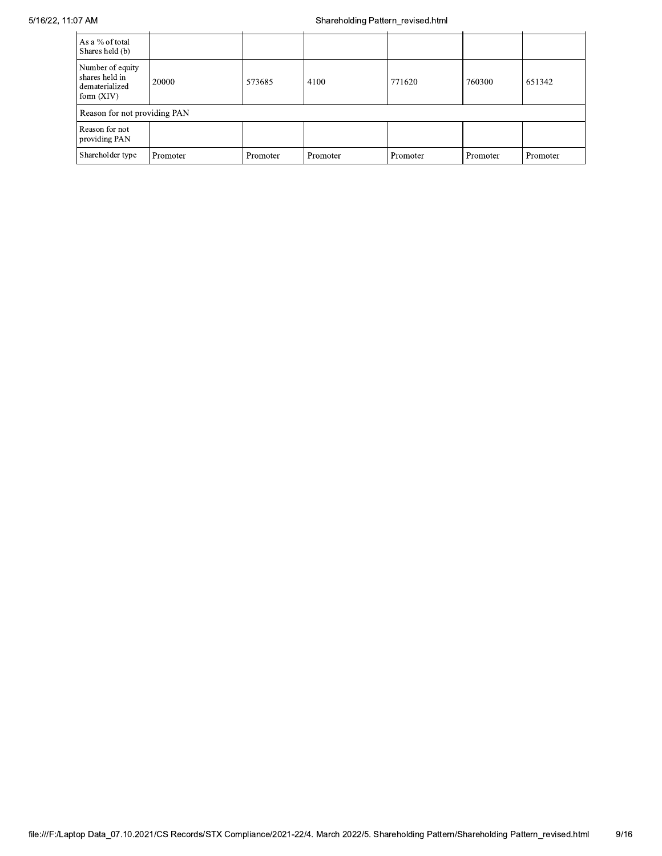| As a % of total<br>Shares held (b)                                   |                              |          |          |          |          |          |  |  |  |
|----------------------------------------------------------------------|------------------------------|----------|----------|----------|----------|----------|--|--|--|
| Number of equity<br>shares held in<br>dematerialized<br>form $(XIV)$ | 20000                        | 573685   | 4100     | 771620   | 760300   | 651342   |  |  |  |
|                                                                      | Reason for not providing PAN |          |          |          |          |          |  |  |  |
| Reason for not<br>providing PAN                                      |                              |          |          |          |          |          |  |  |  |
| Shareholder type                                                     | Promoter                     | Promoter | Promoter | Promoter | Promoter | Promoter |  |  |  |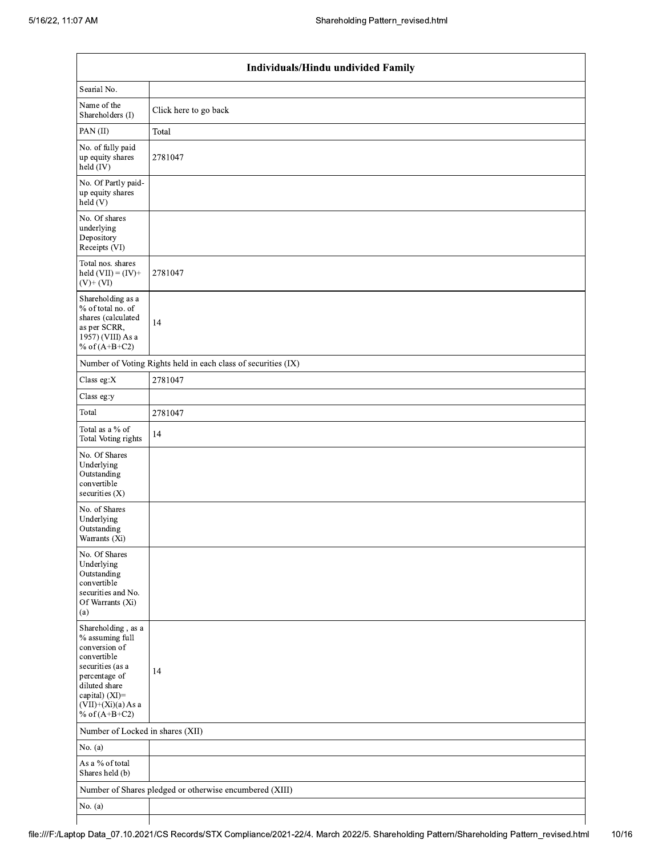$\mathsf I$ 

|                                                                                                                                                                                          | Individuals/Hindu undivided Family                            |
|------------------------------------------------------------------------------------------------------------------------------------------------------------------------------------------|---------------------------------------------------------------|
| Searial No.                                                                                                                                                                              |                                                               |
| Name of the<br>Shareholders (I)                                                                                                                                                          | Click here to go back                                         |
| PAN(II)                                                                                                                                                                                  | Total                                                         |
| No. of fully paid<br>up equity shares<br>held (IV)                                                                                                                                       | 2781047                                                       |
| No. Of Partly paid-<br>up equity shares<br>held (V)                                                                                                                                      |                                                               |
| No. Of shares<br>underlying<br>Depository<br>Receipts (VI)                                                                                                                               |                                                               |
| Total nos. shares<br>held $(VII) = (IV) +$<br>$(V)$ + $(VI)$                                                                                                                             | 2781047                                                       |
| Shareholding as a<br>% of total no. of<br>shares (calculated<br>as per SCRR,<br>1957) (VIII) As a<br>% of $(A+B+C2)$                                                                     | 14                                                            |
|                                                                                                                                                                                          | Number of Voting Rights held in each class of securities (IX) |
| Class eg:X                                                                                                                                                                               | 2781047                                                       |
| Class eg:y                                                                                                                                                                               |                                                               |
| Total                                                                                                                                                                                    | 2781047                                                       |
| Total as a % of<br>Total Voting rights                                                                                                                                                   | 14                                                            |
| No. Of Shares<br>Underlying<br>Outstanding<br>convertible<br>securities (X)                                                                                                              |                                                               |
| No. of Shares<br>Underlying<br>Outstanding<br>Warrants (Xi)                                                                                                                              |                                                               |
| No. Of Shares<br>Underlying<br>Outstanding<br>convertible<br>securities and No.<br>Of Warrants (Xi)<br>(a)                                                                               |                                                               |
| Shareholding, as a<br>% assuming full<br>conversion of<br>convertible<br>securities (as a<br>percentage of<br>diluted share<br>capital) (XI)=<br>$(VII)+(Xi)(a)$ As a<br>% of $(A+B+C2)$ | 14                                                            |
| Number of Locked in shares (XII)                                                                                                                                                         |                                                               |
| No. (a)                                                                                                                                                                                  |                                                               |
| As a % of total<br>Shares held (b)                                                                                                                                                       |                                                               |
|                                                                                                                                                                                          | Number of Shares pledged or otherwise encumbered (XIII)       |
| No. (a)                                                                                                                                                                                  |                                                               |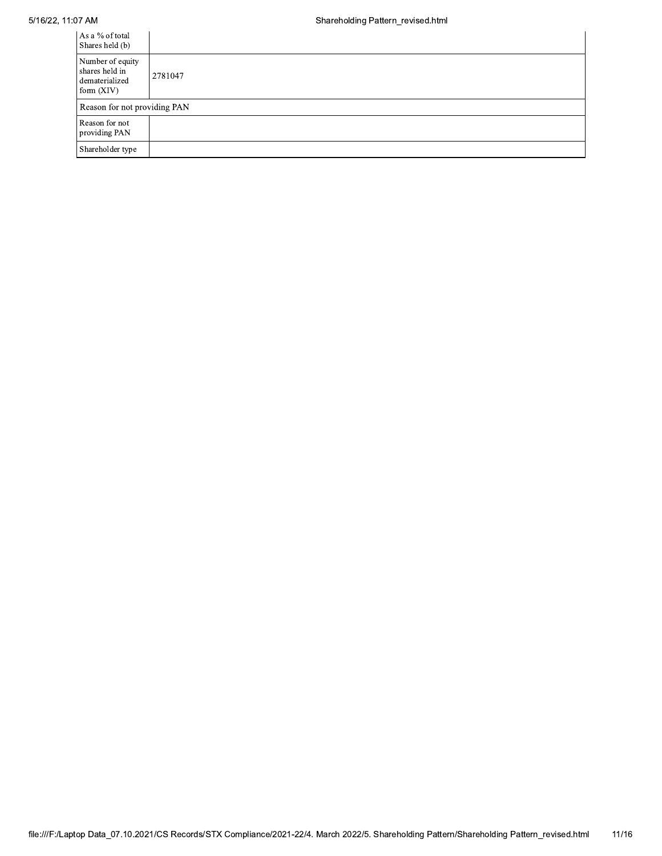## 5/16/22, 11:07 AM

| As a % of total<br>Shares held (b)                                   |         |
|----------------------------------------------------------------------|---------|
| Number of equity<br>shares held in<br>dematerialized<br>form $(XIV)$ | 2781047 |
| Reason for not providing PAN                                         |         |
| Reason for not<br>providing PAN                                      |         |
| Shareholder type                                                     |         |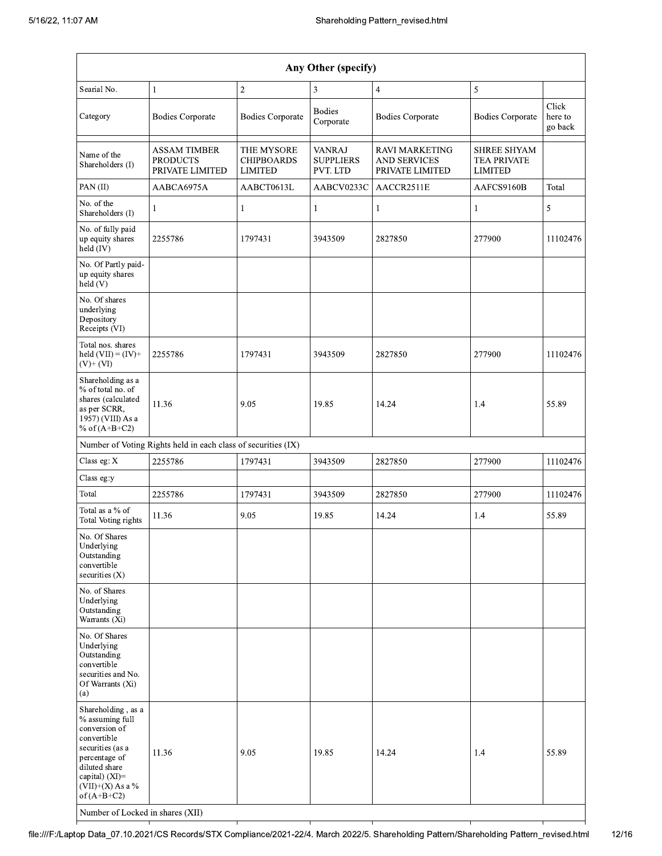| Any Other (specify)                                                                                                                                                                                                      |                                                               |                                                   |                                               |                                                                 |                                                            |                             |  |  |  |  |  |
|--------------------------------------------------------------------------------------------------------------------------------------------------------------------------------------------------------------------------|---------------------------------------------------------------|---------------------------------------------------|-----------------------------------------------|-----------------------------------------------------------------|------------------------------------------------------------|-----------------------------|--|--|--|--|--|
| Searial No.                                                                                                                                                                                                              | $\mathbf{1}$                                                  | $\overline{2}$                                    | 3                                             | $\overline{4}$                                                  | $\sqrt{5}$                                                 |                             |  |  |  |  |  |
| Category                                                                                                                                                                                                                 | <b>Bodies Corporate</b>                                       | <b>Bodies Corporate</b>                           | <b>Bodies</b><br>Corporate                    | <b>Bodies Corporate</b>                                         | <b>Bodies Corporate</b>                                    | Click<br>here to<br>go back |  |  |  |  |  |
| Name of the<br>Shareholders (I)                                                                                                                                                                                          | <b>ASSAM TIMBER</b><br><b>PRODUCTS</b><br>PRIVATE LIMITED     | THE MYSORE<br><b>CHIPBOARDS</b><br><b>LIMITED</b> | <b>VANRAJ</b><br><b>SUPPLIERS</b><br>PVT. LTD | <b>RAVI MARKETING</b><br><b>AND SERVICES</b><br>PRIVATE LIMITED | <b>SHREE SHYAM</b><br><b>TEA PRIVATE</b><br><b>LIMITED</b> |                             |  |  |  |  |  |
| PAN (II)                                                                                                                                                                                                                 | AABCA6975A                                                    | AABCT0613L                                        | AABCV0233C                                    | AACCR2511E                                                      | AAFCS9160B                                                 | Total                       |  |  |  |  |  |
| No. of the<br>Shareholders (I)                                                                                                                                                                                           | 1                                                             | 1                                                 | $\mathbf{1}$                                  | 1                                                               | 1                                                          | 5                           |  |  |  |  |  |
| No. of fully paid<br>up equity shares<br>held (IV)                                                                                                                                                                       | 2255786                                                       | 1797431                                           | 3943509                                       | 2827850                                                         | 277900                                                     | 11102476                    |  |  |  |  |  |
| No. Of Partly paid-<br>up equity shares<br>held (V)                                                                                                                                                                      |                                                               |                                                   |                                               |                                                                 |                                                            |                             |  |  |  |  |  |
| No. Of shares<br>underlying<br>Depository<br>Receipts (VI)                                                                                                                                                               |                                                               |                                                   |                                               |                                                                 |                                                            |                             |  |  |  |  |  |
| Total nos. shares<br>held $(VII) = (IV) +$<br>$(V)+ (VI)$                                                                                                                                                                | 2255786                                                       | 1797431                                           | 3943509                                       | 2827850                                                         | 277900                                                     | 11102476                    |  |  |  |  |  |
| Shareholding as a<br>% of total no. of<br>shares (calculated<br>as per SCRR,<br>1957) (VIII) As a<br>% of $(A+B+C2)$                                                                                                     | 11.36                                                         | 9.05                                              | 19.85                                         | 14.24                                                           | 1.4                                                        | 55.89                       |  |  |  |  |  |
|                                                                                                                                                                                                                          | Number of Voting Rights held in each class of securities (IX) |                                                   |                                               |                                                                 |                                                            |                             |  |  |  |  |  |
| Class eg: X                                                                                                                                                                                                              | 2255786                                                       | 1797431                                           | 3943509                                       | 2827850                                                         | 277900                                                     | 11102476                    |  |  |  |  |  |
| Class eg:y                                                                                                                                                                                                               |                                                               |                                                   |                                               |                                                                 |                                                            |                             |  |  |  |  |  |
| Total                                                                                                                                                                                                                    | 2255786                                                       | 1797431                                           | 3943509                                       | 2827850                                                         | 277900                                                     | 11102476                    |  |  |  |  |  |
| Total as a % of<br>Total Voting rights                                                                                                                                                                                   | 11.36                                                         | 9.05                                              | 19.85                                         | 14.24                                                           | 1.4                                                        | 55.89                       |  |  |  |  |  |
| No. Of Shares<br>Underlying<br>Outstanding<br>convertible<br>securities $(X)$                                                                                                                                            |                                                               |                                                   |                                               |                                                                 |                                                            |                             |  |  |  |  |  |
| No. of Shares<br>Underlying<br>Outstanding<br>Warrants (Xi)                                                                                                                                                              |                                                               |                                                   |                                               |                                                                 |                                                            |                             |  |  |  |  |  |
| No. Of Shares<br>Underlying<br>Outstanding<br>convertible<br>securities and No.<br>Of Warrants (Xi)<br>(a)                                                                                                               |                                                               |                                                   |                                               |                                                                 |                                                            |                             |  |  |  |  |  |
| Shareholding, as a<br>% assuming full<br>conversion of<br>convertible<br>securities (as a<br>percentage of<br>diluted share<br>capital) (XI)=<br>$(VII)+(X)$ As a %<br>of $(A+B+C2)$<br>Number of Locked in shares (XII) | 11.36                                                         | 9.05                                              | 19.85                                         | 14.24                                                           | 1.4                                                        | 55.89                       |  |  |  |  |  |

file:///F:/Laptop Data\_07.10.2021/CS Records/STX Compliance/2021-22/4. March 2022/5. Shareholding Pattern/Shareholding Pattern\_revised.html  $12/16$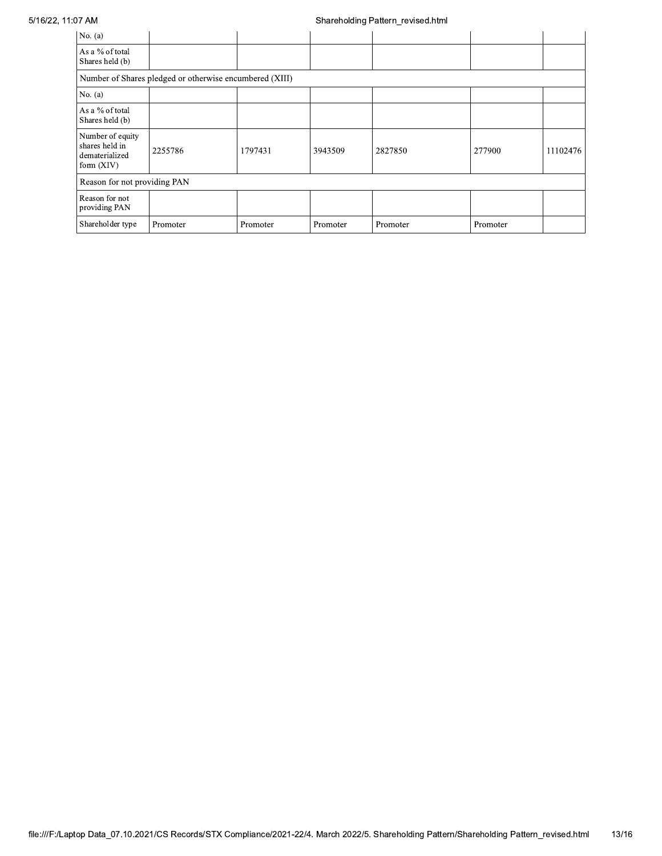## 5/16/22, 11:07 AM

## Shareholding Pattern\_revised.html

| No. $(a)$                                                            |                                                         |          |          |          |          |          |  |
|----------------------------------------------------------------------|---------------------------------------------------------|----------|----------|----------|----------|----------|--|
| As a % of total<br>Shares held (b)                                   |                                                         |          |          |          |          |          |  |
|                                                                      | Number of Shares pledged or otherwise encumbered (XIII) |          |          |          |          |          |  |
| No. $(a)$                                                            |                                                         |          |          |          |          |          |  |
| As a % of total<br>Shares held (b)                                   |                                                         |          |          |          |          |          |  |
| Number of equity<br>shares held in<br>dematerialized<br>form $(XIV)$ | 2255786                                                 | 1797431  | 3943509  | 2827850  | 277900   | 11102476 |  |
| Reason for not providing PAN                                         |                                                         |          |          |          |          |          |  |
| Reason for not<br>providing PAN                                      |                                                         |          |          |          |          |          |  |
| Shareholder type                                                     | Promoter                                                | Promoter | Promoter | Promoter | Promoter |          |  |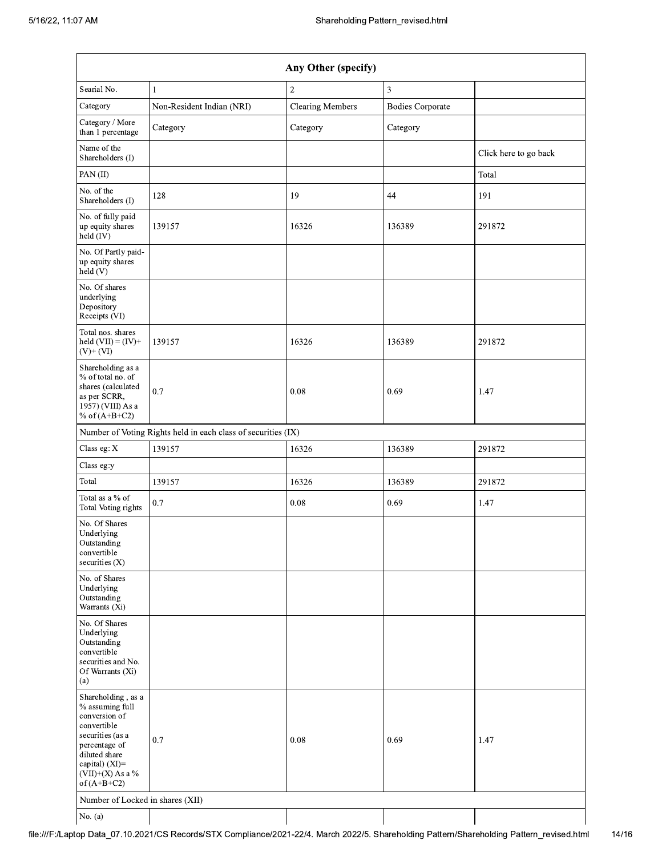| Any Other (specify)                                                                                                                                                                  |                                                               |                         |                         |                       |  |  |  |
|--------------------------------------------------------------------------------------------------------------------------------------------------------------------------------------|---------------------------------------------------------------|-------------------------|-------------------------|-----------------------|--|--|--|
| Searial No.<br>1                                                                                                                                                                     |                                                               | $\sqrt{2}$              | 3                       |                       |  |  |  |
| Category                                                                                                                                                                             | Non-Resident Indian (NRI)                                     | <b>Clearing Members</b> | <b>Bodies Corporate</b> |                       |  |  |  |
| Category / More<br>than 1 percentage                                                                                                                                                 | Category                                                      | Category                | Category                |                       |  |  |  |
| Name of the<br>Shareholders (I)                                                                                                                                                      |                                                               |                         |                         | Click here to go back |  |  |  |
| PAN(II)                                                                                                                                                                              |                                                               |                         |                         | Total                 |  |  |  |
| No. of the<br>Shareholders (I)                                                                                                                                                       | 128                                                           | 19                      | 44                      | 191                   |  |  |  |
| No. of fully paid<br>up equity shares<br>held (IV)                                                                                                                                   | 139157                                                        | 16326                   | 136389                  | 291872                |  |  |  |
| No. Of Partly paid-<br>up equity shares<br>held (V)                                                                                                                                  |                                                               |                         |                         |                       |  |  |  |
| No. Of shares<br>underlying<br>Depository<br>Receipts (VI)                                                                                                                           |                                                               |                         |                         |                       |  |  |  |
| Total nos. shares<br>held $(VII) = (IV) +$<br>$(V)$ + $(VI)$                                                                                                                         | 139157                                                        | 16326                   | 136389                  | 291872                |  |  |  |
| Shareholding as a<br>% of total no. of<br>shares (calculated<br>as per SCRR,<br>1957) (VIII) As a<br>% of $(A+B+C2)$                                                                 | 0.7                                                           | 0.08                    | 0.69                    | 1.47                  |  |  |  |
|                                                                                                                                                                                      | Number of Voting Rights held in each class of securities (IX) |                         |                         |                       |  |  |  |
| Class eg: X                                                                                                                                                                          | 139157                                                        | 16326                   | 136389                  | 291872                |  |  |  |
| Class eg:y                                                                                                                                                                           |                                                               |                         |                         |                       |  |  |  |
| Total                                                                                                                                                                                | 139157                                                        | 16326                   | 136389                  | 291872                |  |  |  |
| Total as a % of<br>Total Voting rights                                                                                                                                               | 0.7                                                           | 0.08                    | 0.69                    | 1.47                  |  |  |  |
| No. Of Shares<br>Underlying<br>Outstanding<br>convertible<br>securities (X)                                                                                                          |                                                               |                         |                         |                       |  |  |  |
| No. of Shares<br>Underlying<br>Outstanding<br>Warrants (Xi)                                                                                                                          |                                                               |                         |                         |                       |  |  |  |
| No. Of Shares<br>Underlying<br>Outstanding<br>convertible<br>securities and No.<br>Of Warrants (Xi)<br>(a)                                                                           |                                                               |                         |                         |                       |  |  |  |
| Shareholding, as a<br>% assuming full<br>conversion of<br>convertible<br>securities (as a<br>percentage of<br>diluted share<br>capital) (XI)=<br>$(VII)+(X)$ As a %<br>of $(A+B+C2)$ | 0.7                                                           | 0.08                    | 0.69                    | 1.47                  |  |  |  |
| Number of Locked in shares (XII)                                                                                                                                                     |                                                               |                         |                         |                       |  |  |  |
| No. (a)                                                                                                                                                                              |                                                               |                         |                         |                       |  |  |  |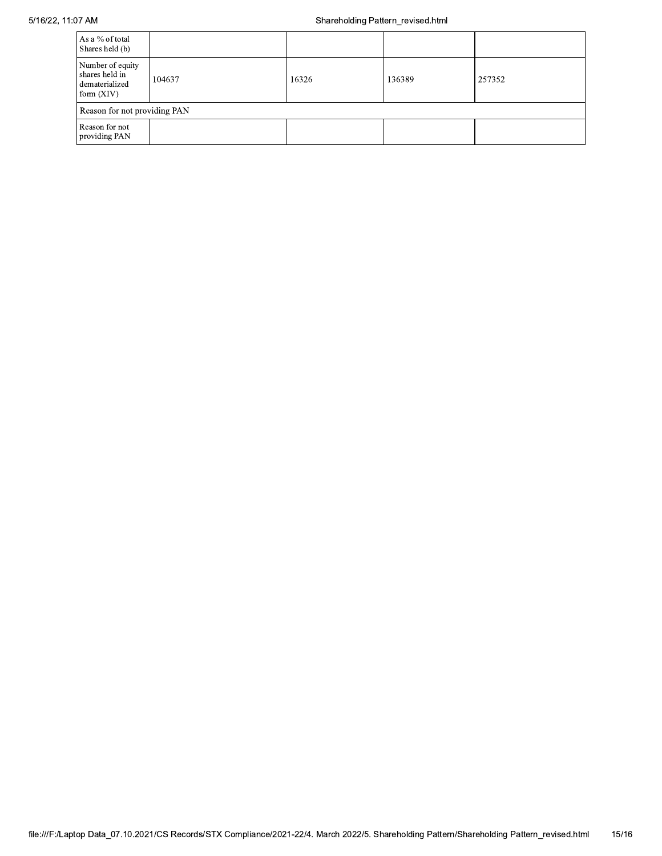| As a % of total<br>Shares held (b)                                   |        |       |        |        |  |  |  |
|----------------------------------------------------------------------|--------|-------|--------|--------|--|--|--|
| Number of equity<br>shares held in<br>dematerialized<br>form $(XIV)$ | 104637 | 16326 | 136389 | 257352 |  |  |  |
| Reason for not providing PAN                                         |        |       |        |        |  |  |  |
| Reason for not<br>providing PAN                                      |        |       |        |        |  |  |  |